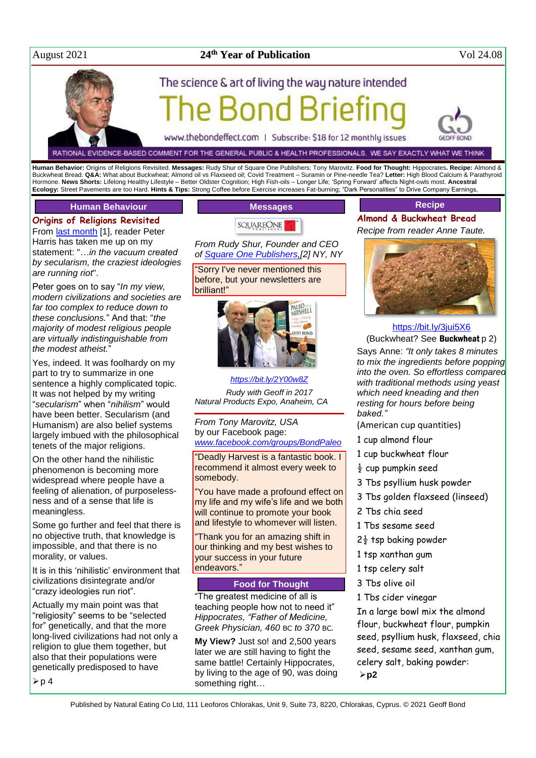# August 2021 **24**

# **24<sup>th</sup> Year of Publication** Vol 24.08

# The science & art of living the way nature intended



RATIONAL EVIDENCE-BASED COMMENT FOR THE GENERAL PUBLIC & HEALTH PROFESSIONALS. WE SAY EXACTLY WHAT WE THINK

**Human Behavior:** Origins of Religions Revisited. **Messages:** Rudy Shur of Square One Publishers; Tony Marovitz. **Food for Thought:** Hippocrates**. Recipe:** Almond & Buckwheat Bread. **Q&A:** What about Buckwheat; Almond oil vs Flaxseed oil; Covid Treatment – Suramin or Pine-needle Tea? **Letter:** High Blood Calcium & Parathyroid Hormone. **News Shorts:** Lifelong Healthy Lifestyle – Better Oldster Cognition; High Fish-oils – Longer Life; 'Spring Forward' affects Night-owls most. **Ancestral Ecology:** Street Pavements are too Hard. **Hints & Tips:** Strong Coffee before Exercise increases Fat-burning; "Dark Personalities" to Drive Company Earnings,

# **Human Behaviour**

**Origins of Religions Revisited** From [last month](http://www.naturaleater.com/NEWSLETTER-ARCHIVE/NEWS-2021/NEWS-2021-07.pdf) [1], reader Peter

Harris has taken me up on my statement: "*…in the vacuum created by secularism, the craziest ideologies are running riot*".

Peter goes on to say "*In my view, modern civilizations and societies are far too complex to reduce down to these conclusions.*" And that: "*the majority of modest religious people are virtually indistinguishable from the modest atheist.*"

Yes, indeed. It was foolhardy on my part to try to summarize in one sentence a highly complicated topic. It was not helped by my writing "*secularism*" when "*nihilism*" would have been better. Secularism (and Humanism) are also belief systems largely imbued with the philosophical tenets of the major religions.

On the other hand the nihilistic phenomenon is becoming more widespread where people have a feeling of alienation, of purposelessness and of a sense that life is meaningless.

Some go further and feel that there is no objective truth, that knowledge is impossible, and that there is no morality, or values.

It is in this 'nihilistic' environment that civilizations disintegrate and/or "crazy ideologies run riot".

Actually my main point was that "religiosity" seems to be "selected for" genetically, and that the more long-lived civilizations had not only a religion to glue them together, but also that their populations were genetically predisposed to have

 $\triangleright$  p 4



*From Rudy Shur, Founder and CEO of [Square One Publishers,](http://www.squareonepublishers.com/)[2] NY, NY*

"Sorry I've never mentioned this before, but your newsletters are brilliant!"



*<https://bit.ly/2Y00w8Z>*

*Rudy with Geoff in 2017 Natural Products Expo, Anaheim, CA*

*From Tony Marovitz, USA* by our Facebook page: *[www.facebook.com/groups/BondPaleo](http://www.facebook.com/groups/BondPaleo)*

"Deadly Harvest is a fantastic book. I recommend it almost every week to somebody.

"You have made a profound effect on my life and my wife's life and we both will continue to promote your book and lifestyle to whomever will listen.

"Thank you for an amazing shift in our thinking and my best wishes to your success in your future endeavors."

#### **Food for Thought**

"The greatest medicine of all is teaching people how not to need it" *Hippocrates, "Father of Medicine, Greek Physician, 460* BC *to 370* BC*.*

**My View?** Just so! and 2,500 years later we are still having to fight the same battle! Certainly Hippocrates, by living to the age of 90, was doing something right…

# **Recipe**

**Almond & Buckwheat Bread** *Recipe from reader Anne Taute.*



# <https://bit.ly/3jui5X6> (Buckwheat? See Buckwheat p 2)

Says Anne: *"It only takes 8 minutes to mix the ingredients before popping into the oven. So effortless compared with traditional methods using yeast which need kneading and then resting for hours before being baked."*

(American cup quantities)

- 1 cup almond flour
- 1 cup buckwheat flour
- $\frac{1}{2}$  cup pumpkin seed
- 3 Tbs psyllium husk powder
- 3 Tbs golden flaxseed (linseed)
- 2 Tbs chia seed
- 1 Tbs sesame seed
- $2\frac{1}{2}$  tsp baking powder
- 1 tsp xanthan gum
- 1 tsp celery salt
- 3 Tbs olive oil
- 1 Tbs cider vinegar

In a large bowl mix the almond flour, buckwheat flour, pumpkin seed, psyllium husk, flaxseed, chia seed, sesame seed, xanthan gum, celery salt, baking powder: **p2**

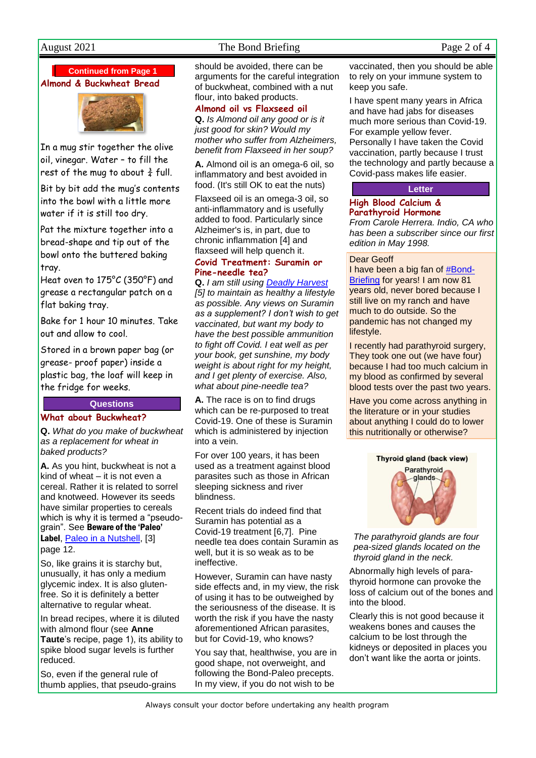# August 2021 The Bond Briefing Page 2 of 4

**Continued from Page 1**

**Almond & Buckwheat Bread**



In a mug stir together the olive oil, vinegar. Water – to fill the rest of the mug to about  $\frac{3}{4}$  full.

Bit by bit add the mug's contents into the bowl with a little more water if it is still too dry.

Pat the mixture together into a bread-shape and tip out of the bowl onto the buttered baking tray.

Heat oven to 175°C (350°F) and grease a rectangular patch on a flat baking tray.

Bake for 1 hour 10 minutes. Take out and allow to cool.

Stored in a brown paper bag (or grease- proof paper) inside a plastic bag, the loaf will keep in the fridge for weeks.

# **Questions**

# **What about Buckwheat?**

**Q.** *What do you make of buckwheat as a replacement for wheat in baked products?*

**A.** As you hint, buckwheat is not a kind of wheat – it is not even a cereal. Rather it is related to sorrel and knotweed. However its seeds have similar properties to cereals which is why it is termed a "pseudograin". See Beware of the 'Paleo' Label, [Paleo in a Nutshell,](http://paleo-nutshell.com/) [3] page 12.

So, like grains it is starchy but, unusually, it has only a medium glycemic index. It is also glutenfree. So it is definitely a better alternative to regular wheat.

In bread recipes, where it is diluted with almond flour (see **Anne Taute**'s recipe, page 1), its ability to spike blood sugar levels is further reduced.

So, even if the general rule of thumb applies, that pseudo-grains should be avoided, there can be arguments for the careful integration of buckwheat, combined with a nut flour, into baked products.

**Almond oil vs Flaxseed oil Q.** *Is Almond oil any good or is it just good for skin? Would my mother who suffer from Alzheimers, benefit from Flaxseed in her soup?*

**A.** Almond oil is an omega-6 oil, so inflammatory and best avoided in food. (It's still OK to eat the nuts)

Flaxseed oil is an omega-3 oil, so anti-inflammatory and is usefully added to food. Particularly since Alzheimer's is, in part, due to chronic inflammation [4] and flaxseed will help quench it.

# **Covid Treatment: Suramin or Pine-needle tea?**

**Q.** *I am still using [Deadly Harvest](http://www.deadlyharvest.com/) [5] to maintain as healthy a lifestyle as possible. Any views on Suramin as a supplement? I don't wish to get vaccinated, but want my body to have the best possible ammunition to fight off Covid. I eat well as per your book, get sunshine, my body weight is about right for my height, and I get plenty of exercise. Also, what about pine-needle tea?*

**A.** The race is on to find drugs which can be re-purposed to treat Covid-19. One of these is Suramin which is administered by injection into a vein.

For over 100 years, it has been used as a treatment against blood parasites such as those in African sleeping sickness and river blindness.

Recent trials do indeed find that Suramin has potential as a Covid-19 treatment [6,7]. Pine needle tea does contain Suramin as well, but it is so weak as to be ineffective.

However, Suramin can have nasty side effects and, in my view, the risk of using it has to be outweighed by the seriousness of the disease. It is worth the risk if you have the nasty aforementioned African parasites, but for Covid-19, who knows?

You say that, healthwise, you are in good shape, not overweight, and following the Bond-Paleo precepts. In my view, if you do not wish to be

vaccinated, then you should be able to rely on your immune system to keep you safe.

I have spent many years in Africa and have had jabs for diseases much more serious than Covid-19. For example yellow fever. Personally I have taken the Covid vaccination, partly because I trust the technology and partly because a Covid-pass makes life easier.

# **Letter**

# **High Blood Calcium & Parathyroid Hormone**

*From Carole Herrera. Indio, CA who has been a subscriber since our first edition in May 1998.*

## Dear Geoff

I have been a big fan of #Bond-Briefing for years! I am now 81 years old, never bored because I still live on my ranch and have much to do outside. So the pandemic has not changed my lifestyle.

I recently had parathyroid surgery, They took one out (we have four) because I had too much calcium in my blood as confirmed by several blood tests over the past two years.

Have you come across anything in the literature or in your studies about anything I could do to lower this nutritionally or otherwise?

# Thyroid gland (back view)



*The parathyroid glands are four pea-sized glands located on the thyroid gland in the neck.*

Abnormally high levels of parathyroid hormone can provoke the loss of calcium out of the bones and into the blood.

Clearly this is not good because it weakens bones and causes the calcium to be lost through the kidneys or deposited in places you don't want like the aorta or joints.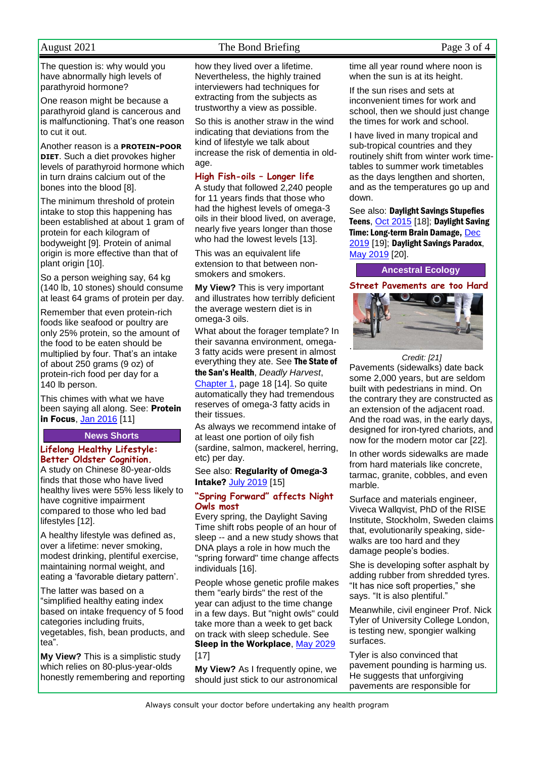August 2021 The Bond Briefing Page 3 of 4

The question is: why would you have abnormally high levels of parathyroid hormone?

One reason might be because a parathyroid gland is cancerous and is malfunctioning. That's one reason to cut it out.

Another reason is a **PROTEIN-POOR DIET**. Such a diet provokes higher levels of parathyroid hormone which in turn drains calcium out of the bones into the blood [8].

The minimum threshold of protein intake to stop this happening has been established at about 1 gram of protein for each kilogram of bodyweight [9]. Protein of animal origin is more effective than that of plant origin [10].

So a person weighing say, 64 kg (140 lb, 10 stones) should consume at least 64 grams of protein per day.

Remember that even protein-rich foods like seafood or poultry are only 25% protein, so the amount of the food to be eaten should be multiplied by four. That's an intake of about 250 grams (9 oz) of protein-rich food per day for a 140 lb person.

This chimes with what we have been saying all along. See: Protein in Focus, [Jan 2016](http://www.naturaleater.com/newsletter-archive/NEWS-2016/NEWS-2016-01.pdf) [11]

# **News Shorts**

# **Lifelong Healthy Lifestyle: Better Oldster Cognition.**

A study on Chinese 80-year-olds finds that those who have lived healthy lives were 55% less likely to have cognitive impairment compared to those who led bad lifestyles [12].

A healthy lifestyle was defined as, over a lifetime: never smoking, modest drinking, plentiful exercise, maintaining normal weight, and eating a 'favorable dietary pattern'.

The latter was based on a "simplified healthy eating index based on intake frequency of 5 food categories including fruits, vegetables, fish, bean products, and tea".

**My View?** This is a simplistic study which relies on 80-plus-year-olds honestly remembering and reporting how they lived over a lifetime. Nevertheless, the highly trained interviewers had techniques for extracting from the subjects as trustworthy a view as possible.

So this is another straw in the wind indicating that deviations from the kind of lifestyle we talk about increase the risk of dementia in oldage.

# **High Fish-oils – Longer life**

A study that followed 2,240 people for 11 years finds that those who had the highest levels of omega-3 oils in their blood lived, on average, nearly five years longer than those who had the lowest levels [13].

This was an equivalent life extension to that between nonsmokers and smokers.

**My View?** This is very important and illustrates how terribly deficient the average western diet is in omega-3 oils.

What about the forager template? In their savanna environment, omega-3 fatty acids were present in almost everything they ate. See The State of the San's Health, *Deadly Harvest*, [Chapter 1,](http://bit.ly/DH-1) page 18 [14]. So quite automatically they had tremendous reserves of omega-3 fatty acids in

their tissues.

As always we recommend intake of at least one portion of oily fish (sardine, salmon, mackerel, herring, etc) per day.

# See also: Regularity of Omega-3 Intake? [July 2019](http://www.naturaleater.com/NEWSLETTER-ARCHIVE/NEWS-2019/news-2019-07.pdf) [15]

# **"Spring Forward" affects Night Owls most**

Every spring, the Daylight Saving Time shift robs people of an hour of sleep -- and a new study shows that DNA plays a role in how much the "spring forward" time change affects individuals [16].

People whose genetic profile makes them "early birds" the rest of the year can adjust to the time change in a few days. But "night owls" could take more than a week to get back on track with sleep schedule. See Sleep in the Workplace, [May 2029](http://www.naturaleater.com/NEWSLETTER-ARCHIVE/NEWS-2019/NEWS-2019-05.pdf) [17]

**My View?** As I frequently opine, we should just stick to our astronomical time all year round where noon is when the sun is at its height.

If the sun rises and sets at inconvenient times for work and school, then we should just change the times for work and school.

I have lived in many tropical and sub-tropical countries and they routinely shift from winter work timetables to summer work timetables as the days lengthen and shorten, and as the temperatures go up and down.

See also: Daylight Savings Stupefies Teens, [Oct 2015](http://www.naturaleater.com/newsletter-archive/NEWS-2015/NEWS-2015-10.pdf) [18]; Daylight Saving Time: Long-term Brain Damage, [Dec](http://www.naturaleater.com/NEWSLETTER-ARCHIVE/NEWS-2019/news-2019-12.pdf)  [2019](http://www.naturaleater.com/NEWSLETTER-ARCHIVE/NEWS-2019/news-2019-12.pdf) [19]; Daylight Savings Paradox, [May 2019](http://www.naturaleater.com/NEWSLETTER-ARCHIVE/NEWS-2019/NEWS-2019-05.pdf) [20].

**Ancestral Ecology**

**Street Pavements are too Hard**



*Credit: [21]* Pavements (sidewalks) date back some 2,000 years, but are seldom built with pedestrians in mind. On the contrary they are constructed as an extension of the adjacent road. And the road was, in the early days, designed for iron-tyred chariots, and now for the modern motor car [22].

In other words sidewalks are made from hard materials like concrete, tarmac, granite, cobbles, and even marble.

Surface and materials engineer, Viveca Wallqvist, PhD of the RISE Institute, Stockholm, Sweden claims that, evolutionarily speaking, sidewalks are too hard and they damage people's bodies.

She is developing softer asphalt by adding rubber from shredded tyres. "It has nice soft properties," she says. "It is also plentiful."

Meanwhile, civil engineer Prof. Nick Tyler of University College London, is testing new, spongier walking surfaces.

Tyler is also convinced that pavement pounding is harming us. He suggests that unforgiving pavements are responsible for